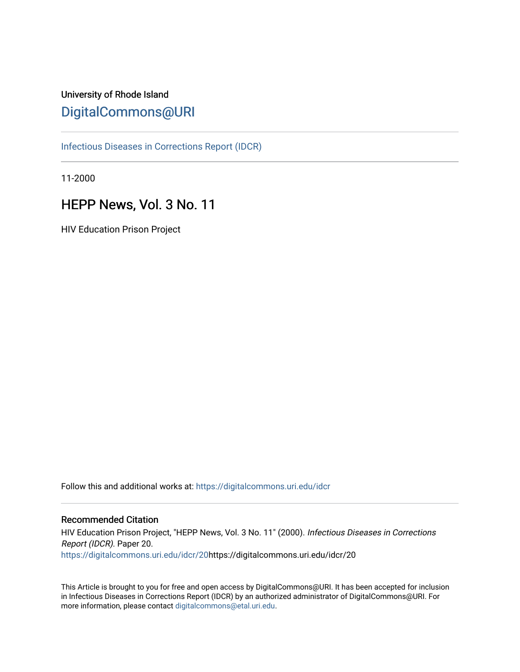# University of Rhode Island [DigitalCommons@URI](https://digitalcommons.uri.edu/)

[Infectious Diseases in Corrections Report \(IDCR\)](https://digitalcommons.uri.edu/idcr)

11-2000

# HEPP News, Vol. 3 No. 11

HIV Education Prison Project

Follow this and additional works at: [https://digitalcommons.uri.edu/idcr](https://digitalcommons.uri.edu/idcr?utm_source=digitalcommons.uri.edu%2Fidcr%2F20&utm_medium=PDF&utm_campaign=PDFCoverPages)

### Recommended Citation

HIV Education Prison Project, "HEPP News, Vol. 3 No. 11" (2000). Infectious Diseases in Corrections Report (IDCR). Paper 20. [https://digitalcommons.uri.edu/idcr/20h](https://digitalcommons.uri.edu/idcr/20?utm_source=digitalcommons.uri.edu%2Fidcr%2F20&utm_medium=PDF&utm_campaign=PDFCoverPages)ttps://digitalcommons.uri.edu/idcr/20

This Article is brought to you for free and open access by DigitalCommons@URI. It has been accepted for inclusion in Infectious Diseases in Corrections Report (IDCR) by an authorized administrator of DigitalCommons@URI. For more information, please contact [digitalcommons@etal.uri.edu.](mailto:digitalcommons@etal.uri.edu)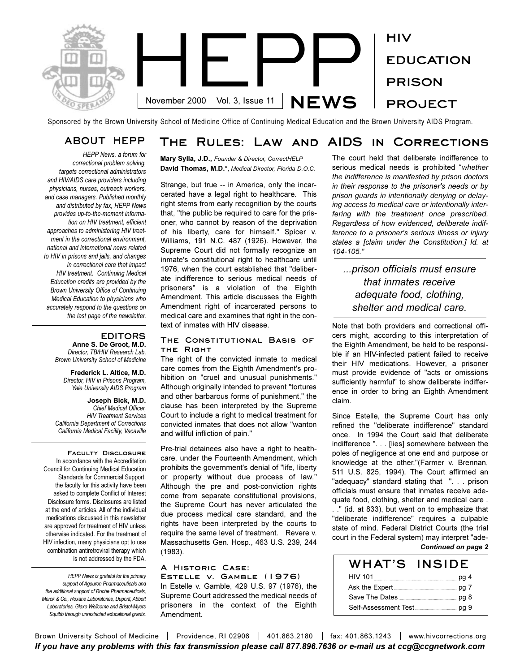

Sponsored by the Brown University School of Medicine Office of Continuing Medical Education and the Brown University AIDS Program.

*HEPP News, a forum for correctional problem solving, targets correctional administrators and HIV/AIDS care providers including physicians, nurses, outreach workers, and case managers. Published monthly and distributed by fax, HEPP News provides up-to-the-moment information on HIV treatment, efficient approaches to administering HIV treatment in the correctional environment, national and international news related to HIV in prisons and jails, and changes in correctional care that impact HIV treatment. Continuing Medical Education credits are provided by the Brown University Office of Continuing Medical Education to physicians who accurately respond to the questions on the last page of the newsletter.* 

### **EDITORS**

**Anne S. De Groot, M.D.** *Director, TB/HIV Research Lab, Brown University School of Medicine*

**Frederick L. Altice, M.D.** *Director, HIV in Prisons Program, Yale University AIDS Program*

**Joseph Bick, M.D.** *Chief Medical Officer, HIV Treatment Services California Department of Corrections California Medical Facility, Vacaville*

**Faculty Disclosure**  In accordance with the Accreditation Council for Continuing Medical Education Standards for Commercial Support, the faculty for this activity have been asked to complete Conflict of Interest Disclosure forms. Disclosures are listed at the end of articles. All of the individual medications discussed in this newsletter are approved for treatment of HIV unless otherwise indicated. For the treatment of HIV infection, many physicians opt to use combination antiretroviral therapy which is not addressed by the FDA.

*HEPP News is grateful for the primary support of Agouron Pharmaceuticals and the additional support of Roche Pharmaceuticals, Merck & Co., Roxane Laboratories, Dupont, Abbott Laboratories, Glaxo Wellcome and Bristol-Myers Squibb through unrestricted educational grants.*

# **ABOUT HEPP The Rules: Law and AIDS in Corrections**

**Mary Sylla, J.D.,** *Founder & Director, CorrectHELP* **David Thomas, M.D.\*,** *Medical Director, Florida D.O.C.*

Strange, but true -- in America, only the incarcerated have a legal right to healthcare. This right stems from early recognition by the courts that, "the public be required to care for the prisoner, who cannot by reason of the deprivation of his liberty, care for himself." Spicer v. Williams, 191 N.C. 487 (1926). However, the Supreme Court did not formally recognize an inmate's constitutional right to healthcare until 1976, when the court established that "deliberate indifference to serious medical needs of prisoners" is a violation of the Eighth Amendment. This article discusses the Eighth Amendment right of incarcerated persons to medical care and examines that right in the context of inmates with HIV disease.

#### **The Constitutional Basis of the Right**

The right of the convicted inmate to medical care comes from the Eighth Amendment's prohibition on "cruel and unusual punishments." Although originally intended to prevent "tortures and other barbarous forms of punishment," the clause has been interpreted by the Supreme Court to include a right to medical treatment for convicted inmates that does not allow "wanton and willful infliction of pain."

Pre-trial detainees also have a right to healthcare, under the Fourteenth Amendment, which prohibits the government's denial of "life, liberty or property without due process of law." Although the pre and post-conviction rights come from separate constitutional provisions, the Supreme Court has never articulated the due process medical care standard, and the rights have been interpreted by the courts to require the same level of treatment. Revere v. Massachusetts Gen. Hosp., 463 U.S. 239, 244 (1983).

### **A Historic Case:**

**Estelle v. Gamble (1976)** In Estelle v. Gamble, 429 U.S. 97 (1976), the Supreme Court addressed the medical needs of prisoners in the context of the Eighth Amendment.

The court held that deliberate indifference to serious medical needs is prohibited *whether the indifference is manifested by prison doctors in their response to the prisoner's needs or by prison guards in intentionally denying or delaying access to medical care or intentionally interfering with the treatment once prescribed. Regardless of how evidenced, deliberate indifference to a prisoner's serious illness or injury states a [claim under the Constitution.] Id. at 104-105."*

## *...prison officials must ensure that inmates receive adequate food, clothing, shelter and medical care.*

Note that both providers and correctional officers might, according to this interpretation of the Eighth Amendment, be held to be responsible if an HIV-infected patient failed to receive their HIV medications. However, a prisoner must provide evidence of "acts or omissions sufficiently harmful" to show deliberate indifference in order to bring an Eighth Amendment claim.

Since Estelle, the Supreme Court has only refined the "deliberate indifference" standard once. In 1994 the Court said that deliberate indifference ". . . [lies] somewhere between the poles of negligence at one end and purpose or knowledge at the other,"(Farmer v. Brennan, 511 U.S. 825, 1994). The Court affirmed an "adequacy" standard stating that ". . . prison officials must ensure that inmates receive adequate food, clothing, shelter and medical care . . ." (id. at 833), but went on to emphasize that "deliberate indifference" requires a culpable state of mind. Federal District Courts (the trial court in the Federal system) may interpret "ade-*Continued on page 2*

| WHAT'S | <b>INSIDE</b> |
|--------|---------------|
|        |               |
|        |               |
|        |               |
|        |               |

Brown University School of Medicine | Providence, RI 02906 | 401.863.2180 | fax: 401.863.1243 | www.hivcorrections.org *If you have any problems with this fax transmission please call 877.896.7636 or e-mail us at ccg@ccgnetwork.com*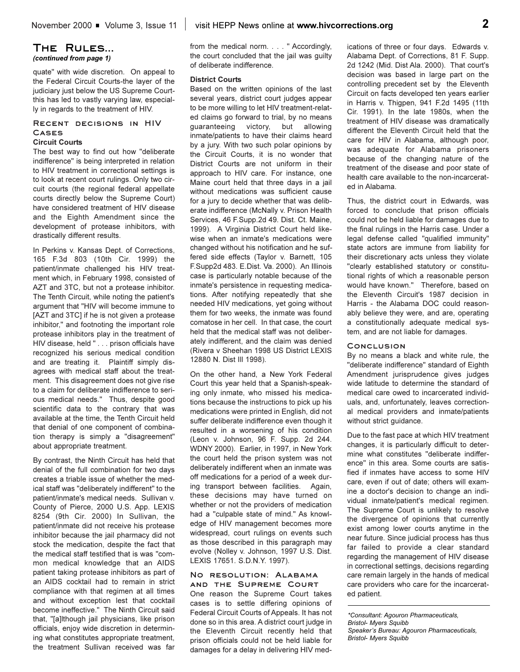### **The Rules...**  *(continued from page 1)*

quate" with wide discretion. On appeal to the Federal Circuit Courts-the layer of the judiciary just below the US Supreme Courtthis has led to vastly varying law, especially in regards to the treatment of HIV.

### **Recent decisions in HIV Cases**

#### **Circuit Courts**

The best way to find out how "deliberate indifference" is being interpreted in relation to HIV treatment in correctional settings is to look at recent court rulings. Only two circuit courts (the regional federal appellate courts directly below the Supreme Court) have considered treatment of HIV disease and the Eighth Amendment since the development of protease inhibitors, with drastically different results.

In Perkins v. Kansas Dept. of Corrections, 165 F.3d 803 (10th Cir. 1999) the patient/inmate challenged his HIV treatment which, in February 1998, consisted of AZT and 3TC, but not a protease inhibitor. The Tenth Circuit, while noting the patient's argument that "HIV will become immune to [AZT and 3TC] if he is not given a protease inhibitor," and footnoting the important role protease inhibitors play in the treatment of HIV disease, held " . . . prison officials have recognized his serious medical condition and are treating it. Plaintiff simply disagrees with medical staff about the treatment. This disagreement does not give rise to a claim for deliberate indifference to serious medical needs." Thus, despite good scientific data to the contrary that was available at the time, the Tenth Circuit held that denial of one component of combination therapy is simply a "disagreement" about appropriate treatment.

By contrast, the Ninth Circuit has held that denial of the full combination for two days creates a triable issue of whether the medical staff was "deliberately indifferent" to the patient/inmate's medical needs. Sullivan v. County of Pierce, 2000 U.S. App. LEXIS 8254 (9th Cir. 2000) In Sullivan, the patient/inmate did not receive his protease inhibitor because the jail pharmacy did not stock the medication, despite the fact that the medical staff testified that is was "common medical knowledge that an AIDS patient taking protease inhibitors as part of an AIDS cocktail had to remain in strict compliance with that regimen at all times and without exception lest that cocktail become ineffective." The Ninth Circuit said that, "[a]lthough jail physicians, like prison officials, enjoy wide discretion in determining what constitutes appropriate treatment, the treatment Sullivan received was far from the medical norm. . . . " Accordingly, the court concluded that the jail was guilty of deliberate indifference.

### **District Courts**

Based on the written opinions of the last several years, district court judges appear to be more willing to let HIV treatment-related claims go forward to trial, by no means guaranteeing victory, but allowing inmate/patients to have their claims heard by a jury. With two such polar opinions by the Circuit Courts, it is no wonder that District Courts are not uniform in their approach to HIV care. For instance, one Maine court held that three days in a jail without medications was sufficient cause for a jury to decide whether that was deliberate indifference (McNally v. Prison Health Services, 46 F.Supp.2d 49. Dist. Ct. Maine, 1999). A Virginia District Court held likewise when an inmate's medications were changed without his notification and he suffered side effects (Taylor v. Barnett, 105 F.Supp2d 483. E.Dist. Va. 2000). An Illinois case is particularly notable because of the inmate's persistence in requesting medications. After notifying repeatedly that she needed HIV medications, yet going without them for two weeks, the inmate was found comatose in her cell. In that case, the court held that the medical staff was not deliberately indifferent, and the claim was denied (Rivera v Sheehan 1998 US District LEXIS 12880 N. Dist Ill 1998).

On the other hand, a New York Federal Court this year held that a Spanish-speaking only inmate, who missed his medications because the instructions to pick up his medications were printed in English, did not suffer deliberate indifference even though it resulted in a worsening of his condition (Leon v. Johnson, 96 F. Supp. 2d 244. WDNY 2000). Earlier, in 1997, in New York the court held the prison system was not deliberately indifferent when an inmate was off medications for a period of a week during transport between facilities. Again, these decisions may have turned on whether or not the providers of medication had a "culpable state of mind." As knowledge of HIV management becomes more widespread, court rulings on events such as those described in this paragraph may evolve (Nolley v. Johnson, 1997 U.S. Dist. LEXIS 17651. S.D.N.Y. 1997).

#### **No resolution: Alabama and the Supreme Court**

One reason the Supreme Court takes cases is to settle differing opinions of Federal Circuit Courts of Appeals. It has not done so in this area. A district court judge in the Eleventh Circuit recently held that prison officials could not be held liable for damages for a delay in delivering HIV medications of three or four days. Edwards v. Alabama Dept. of Corrections, 81 F. Supp. 2d 1242 (Mid. Dist Ala. 2000). That court's decision was based in large part on the controlling precedent set by the Eleventh Circuit on facts developed ten years earlier in Harris v. Thigpen, 941 F.2d 1495 (11th Cir. 1991). In the late 1980s, when the treatment of HIV disease was dramatically different the Eleventh Circuit held that the care for HIV in Alabama, although poor, was adequate for Alabama prisoners because of the changing nature of the treatment of the disease and poor state of health care available to the non-incarcerated in Alabama.

Thus, the district court in Edwards, was forced to conclude that prison officials could not be held liable for damages due to the final rulings in the Harris case. Under a legal defense called "qualified immunity" state actors are immune from liability for their discretionary acts unless they violate "clearly established statutory or constitutional rights of which a reasonable person would have known." Therefore, based on the Eleventh Circuit's 1987 decision in Harris - the Alabama DOC could reasonably believe they were, and are, operating a constitutionally adequate medical system, and are not liable for damages.

#### **Conclusion**

By no means a black and white rule, the "deliberate indifference" standard of Eighth Amendment jurisprudence gives judges wide latitude to determine the standard of medical care owed to incarcerated individuals, and, unfortunately, leaves correctional medical providers and inmate/patients without strict guidance.

Due to the fast pace at which HIV treatment changes, it is particularly difficult to determine what constitutes "deliberate indifference" in this area. Some courts are satisfied if inmates have access to some HIV care, even if out of date; others will examine a doctor's decision to change an individual inmate/patient's medical regimen. The Supreme Court is unlikely to resolve the divergence of opinions that currently exist among lower courts anytime in the near future. Since judicial process has thus far failed to provide a clear standard regarding the management of HIV disease in correctional settings, decisions regarding care remain largely in the hands of medical care providers who care for the incarcerated patient.

*\*Consultant: Agouron Pharmaceuticals, Bristol- Myers Squibb* Speaker's Bureau: Agouron Pharmaceuticals, *Bristol- Myers Squibb*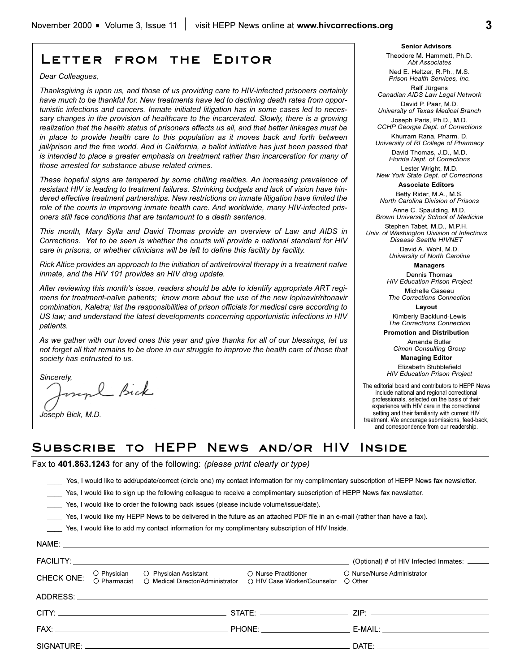# **Letter from the Editor**

*Dear Colleagues,*

*Thanksgiving is upon us, and those of us providing care to HIV-infected prisoners certainly have much to be thankful for. New treatments have led to declining death rates from opportunistic infections and cancers. Inmate initiated litigation has in some cases led to necessary changes in the provision of healthcare to the incarcerated. Slowly, there is a growing realization that the health status of prisoners affects us all, and that better linkages must be in place to provide health care to this population as it moves back and forth between jail/prison and the free world. And in California, a ballot initiative has just been passed that is intended to place a greater emphasis on treatment rather than incarceration for many of those arrested for substance abuse related crimes.* 

*These hopeful signs are tempered by some chilling realities. An increasing prevalence of resistant HIV is leading to treatment failures. Shrinking budgets and lack of vision have hindered effective treatment partnerships. New restrictions on inmate litigation have limited the role of the courts in improving inmate health care. And worldwide, many HIV-infected prisoners still face conditions that are tantamount to a death sentence.*

*This month, Mary Sylla and David Thomas provide an overview of Law and AIDS in Corrections. Yet to be seen is whether the courts will provide a national standard for HIV care in prisons, or whether clinicians will be left to define this facility by facility.*

*Rick Altice provides an approach to the initiation of antiretroviral therapy in a treatment naïve inmate, and the HIV 101 provides an HIV drug update.*

*After reviewing this month's issue, readers should be able to identify appropriate ART regimens for treatment-naïve patients; know more about the use of the new lopinavir/ritonavir combination, Kaletra; list the responsibilities of prison officials for medical care according to US law; and understand the latest developments concerning opportunistic infections in HIV patients.*

*As we gather with our loved ones this year and give thanks for all of our blessings, let us not forget all that remains to be done in our struggle to improve the health care of those that society has entrusted to us.* 

*Sincerely,*

*Joseph Bick, M.D.*

**Senior Advisors** Theodore M. Hammett, Ph.D.

*Abt Associates* Ned E. Heltzer, R.Ph., M.S. *Prison Health Services, Inc.*

Ralf Jürgens *Canadian AIDS Law Legal Network*

David P. Paar, M.D. *University of Texas Medical Branch*

Joseph Paris, Ph.D., M.D. *CCHP Georgia Dept. of Corrections* 

Khurram Rana, Pharm. D. *University of RI College of Pharmacy* David Thomas, J.D., M.D. *Florida Dept. of Corrections*

Lester Wright, M.D. *New York State Dept. of Corrections*

**Associate Editors**

Betty Rider, M.A., M.S. *North Carolina Division of Prisons*

Anne C. Spaulding, M.D. *Brown University School of Medicine*

Stephen Tabet, M.D., M.P.H. *Univ. of Washington Division of Infectious Disease Seattle HIVNET*

> David A. Wohl, M.D. *University of North Carolina*

> > **Managers**

Dennis Thomas *HIV Education Prison Project*

Michelle Gaseau *The Corrections Connection*

**Layout** Kimberly Backlund-Lewis

*The Corrections Connection*

**Promotion and Distribution**

Amanda Butler *Cimon Consulting Group*

**Managing Editor** 

Elizabeth Stubblefield *HIV Education Prison Project*

The editorial board and contributors to HEPP News include national and regional correctional professionals, selected on the basis of their experience with HIV care in the correctional setting and their familiarity with current HIV treatment. We encourage submissions, feed-back, and correspondence from our readership.

## **Subscribe to HEPP News and/or HIV Inside**

Fax to **401.863.1243** for any of the following: *(please print clearly or type)*

\_\_\_\_ Yes, I would like to add/update/correct (circle one) my contact information for my complimentary subscription of HEPP News fax newsletter.

Yes, I would like to sign up the following colleague to receive a complimentary subscription of HEPP News fax newsletter.

\_\_\_\_ Yes, I would like to order the following back issues (please include volume/issue/date).

\_\_\_\_ Yes, I would like my HEPP News to be delivered in the future as an attached PDF file in an e-mail (rather than have a fax).

\_\_\_\_ Yes, I would like to add my contact information for my complimentary subscription of HIV Inside.

|            | NAME: NAME: 2008 Participants and the contract of the contract of the contract of the contract of the contract of the contract of the contract of the contract of the contract of the contract of the contract of the contract |                                                                                                                                                                                                                                |
|------------|--------------------------------------------------------------------------------------------------------------------------------------------------------------------------------------------------------------------------------|--------------------------------------------------------------------------------------------------------------------------------------------------------------------------------------------------------------------------------|
|            |                                                                                                                                                                                                                                | (Optional) # of HIV Infected Inmates: ______                                                                                                                                                                                   |
| CHECK ONE: | O Physician O Physician Assistant O Nurse Practitioner O Nurse/Nurse Administrator O Pharmacist O Medical Director/Administrator O HIV Case Worker/Counselor O Other                                                           |                                                                                                                                                                                                                                |
|            | ADDRESS: ADDRESS:                                                                                                                                                                                                              |                                                                                                                                                                                                                                |
|            |                                                                                                                                                                                                                                |                                                                                                                                                                                                                                |
|            |                                                                                                                                                                                                                                |                                                                                                                                                                                                                                |
|            |                                                                                                                                                                                                                                | DATE: the contract of the contract of the contract of the contract of the contract of the contract of the contract of the contract of the contract of the contract of the contract of the contract of the contract of the cont |
|            |                                                                                                                                                                                                                                |                                                                                                                                                                                                                                |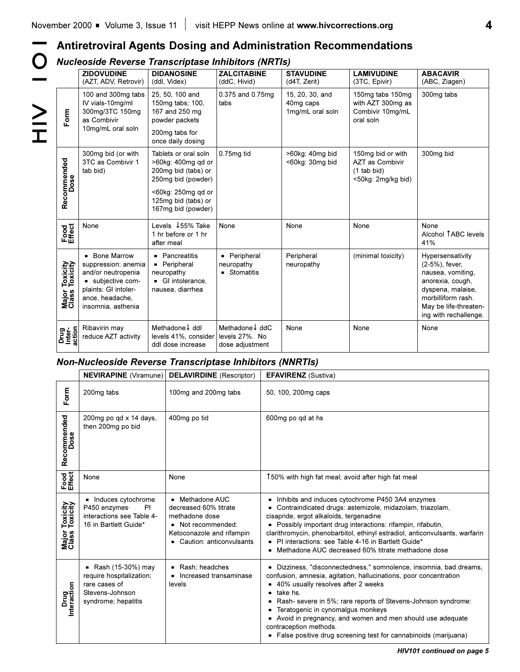**4**

# **Antiretroviral Agents Dosing and Administration Recommendations**

# *Nucleoside Reverse Transcriptase Inhibitors (NRTIs)*

|<br>|<br>|<br>|<br>|<br>|<br><br>|<br><br><br><br><br><br><br>

 $\bf{O}$ 

|                                               | <b>ZIDOVUDINE</b><br>(AZT, ADV, Retrovir)                                                                                                      | <b>DIDANOSINE</b><br>(ddl, Videx)                                                         | <b>ZALCITABINE</b><br>(ddC, Hivid)                   | <b>STAVUDINE</b><br>(d4T, Zerit)                 | <b>LAMIVUDINE</b><br>(3TC, Epivir)                                                 | <b>ABACAVIR</b><br>(ABC, Ziagen)                                                                                                                                         |
|-----------------------------------------------|------------------------------------------------------------------------------------------------------------------------------------------------|-------------------------------------------------------------------------------------------|------------------------------------------------------|--------------------------------------------------|------------------------------------------------------------------------------------|--------------------------------------------------------------------------------------------------------------------------------------------------------------------------|
| Form                                          | 100 and 300mg tabs<br>IV vials-10mg/ml<br>300mg/3TC 150mg<br>as Combivir<br>10mg/mL oral soln                                                  | 25, 50, 100 and<br>150mg tabs; 100,<br>167 and 250 mg<br>powder packets<br>200mg tabs for | 0.375 and 0.75mg<br>tabs                             | 15, 20, 30, and<br>40mg caps<br>1mg/mL oral soln | 150mg tabs 150mg<br>with AZT 300mg as<br>Combivir 10mg/mL<br>oral soln             | 300mg tabs                                                                                                                                                               |
|                                               |                                                                                                                                                | once daily dosing                                                                         |                                                      |                                                  |                                                                                    |                                                                                                                                                                          |
| Recommended<br>Dose                           | 300mg bid (or with<br>3TC as Combivir 1<br>tab bid)                                                                                            | Tablets or oral soln<br>>60kg: 400mg qd or<br>200mg bid (tabs) or<br>250mg bid (powder)   | 0.75mg tid                                           | >60kg: 40mg bid<br><60kg: 30mg bid               | 150mg bid or with<br><b>AZT as Combivir</b><br>$(1$ tab bid)<br><50kg: 2mg/kg bid) | 300mg bid                                                                                                                                                                |
|                                               |                                                                                                                                                | <60kg: 250mg gd or<br>125mg bid (tabs) or<br>167mg bid (powder)                           |                                                      |                                                  |                                                                                    |                                                                                                                                                                          |
| Food<br>Effect                                | None                                                                                                                                           | Levels ↓55% Take<br>1 hr before or 1 hr<br>after meal                                     | None                                                 | None                                             | None                                                                               | None<br>Alcohol TABC levels<br>41%                                                                                                                                       |
| <b>Toxicity</b><br>Toxicity<br>Major<br>Class | • Bone Marrow<br>suppression: anemia<br>and/or neutropenia<br>subjective com-<br>plaints: GI intoler-<br>ance, headache,<br>insomnia, asthenia | • Pancreatitis<br>• Peripheral<br>neuropathy<br>GI intolerance,<br>nausea, diarrhea       | • Peripheral<br>neuropathy<br>• Stomatitis           | Peripheral<br>neuropathy                         | (minimal toxicity)                                                                 | Hypersensativity<br>(2-5%), fever,<br>nausea, vomiting,<br>anorexia, cough,<br>dyspena, malaise,<br>morbilliform rash.<br>May be life-threaten-<br>ing with rechallenge. |
| Drug<br>Inter-<br>action                      | Ribavirin may<br>reduce AZT activity                                                                                                           | Methadone I ddl<br>levels 41%, consider<br>ddl dose increase                              | Methadone I ddC<br>levels 27%. No<br>dose adjustment | None                                             | None                                                                               | None                                                                                                                                                                     |

## *Non-Nucleoside Reverse Transcriptase Inhibitors (NNRTIs)*

|                                        | <b>NEVIRAPINE</b> (Viramune)                                                                             | <b>DELAVIRDINE</b> (Rescriptor)                                                                                                             | <b>EFAVIRENZ</b> (Sustiva)                                                                                                                                                                                                                                                                                                                                                                                                                                                      |
|----------------------------------------|----------------------------------------------------------------------------------------------------------|---------------------------------------------------------------------------------------------------------------------------------------------|---------------------------------------------------------------------------------------------------------------------------------------------------------------------------------------------------------------------------------------------------------------------------------------------------------------------------------------------------------------------------------------------------------------------------------------------------------------------------------|
| Form                                   | 200mg tabs                                                                                               | 100mg and 200mg tabs                                                                                                                        | 50, 100, 200mg caps                                                                                                                                                                                                                                                                                                                                                                                                                                                             |
| Recommended<br>Dose                    | 200mg po qd x 14 days,<br>then 200mg po bid                                                              | 400mg po tid                                                                                                                                | 600mg po qd at hs                                                                                                                                                                                                                                                                                                                                                                                                                                                               |
| Food<br>Effect                         | None                                                                                                     | None                                                                                                                                        | 150% with high fat meal; avoid after high fat meal                                                                                                                                                                                                                                                                                                                                                                                                                              |
| Toxicity<br>Toxicity<br>Major<br>Class | • Induces cytochrome<br>P450 enzymes·<br><b>PI</b><br>interactions see Table 4-<br>16 in Bartlett Guide* | ■ Methadone AUC<br>decreased 60% titrate<br>methadone dose<br>• Not recommended:<br>Ketoconazole and rifampin<br>• Caution: anticonvulsants | Inhibits and induces cytochrome P450 3A4 enzymes<br>Contraindicated drugs: astemizole, midazolam, triazolam,<br>cisapride, ergot alkaloids, tergenadine<br>Possibly important drug interactions: rifampin, rifabutin,<br>clarithromycin, phenobarbitol, ethinyl estradiol, anticonvulsants, warfarin<br>• PI interactions: see Table 4-16 in Bartlett Guide*<br>• Methadone AUC decreased 60% titrate methadone dose                                                            |
| Drug<br>Interaction                    | Rash (15-30%) may<br>require hospitalization;<br>rare cases of<br>Stevens-Johnson<br>syndrome; hepatitis | Rash; headches<br>Increased transaminase<br>levels                                                                                          | Dizziness, "disconnectedness," somnolence, insomnia, bad dreams,<br>confusion, amnesia, agitation, hallucinations, poor concentration<br>■ 40% usually resolves after 2 weeks<br>take hs.<br>$\blacksquare$<br>Rash- severe in 5%; rare reports of Stevens-Johnson syndrome:<br>Teratogenic in cynomalgus monkeys<br>• Avoid in pregnancy, and women and men should use adequate<br>contraception methods.<br>• False positive drug screening test for cannabinoids (marijuana) |

*HIV101 continued on page 5*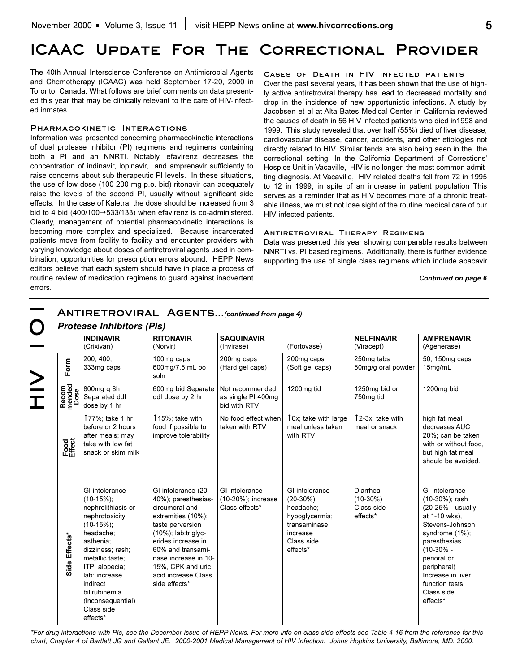# **ICAAC Update For The Correctional Provider**

The 40th Annual Interscience Conference on Antimicrobial Agents and Chemotherapy (ICAAC) was held September 17-20, 2000 in Toronto, Canada. What follows are brief comments on data presented this year that may be clinically relevant to the care of HIV-infected inmates.

#### **Pharmacokinetic Interactions**

Information was presented concerning pharmacokinetic interactions of dual protease inhibitor (PI) regimens and regimens containing both a PI and an NNRTI. Notably, efavirenz decreases the concentration of indinavir, lopinavir, and amprenavir sufficiently to raise concerns about sub therapeutic PI levels. In these situations, the use of low dose (100-200 mg p.o. bid) ritonavir can adequately raise the levels of the second PI, usually without significant side effects. In the case of Kaletra, the dose should be increased from 3 bid to 4 bid (400/100 $\rightarrow$ 533/133) when efavirenz is co-administered. Clearly, management of potential pharmacokinetic interactions is becoming more complex and specialized. Because incarcerated patients move from facility to facility and encounter providers with varying knowledge about doses of antiretroviral agents used in combination, opportunities for prescription errors abound. HEPP News editors believe that each system should have in place a process of routine review of medication regimens to guard against inadvertent errors.

**Cases of Death in HIV infected patients** Over the past several years, it has been shown that the use of highly active antiretroviral therapy has lead to decreased mortality and drop in the incidence of new opportunistic infections. A study by Jacobsen et al at Alta Bates Medical Center in California reviewed the causes of death in 56 HIV infected patients who died in1998 and 1999. This study revealed that over half (55%) died of liver disease, cardiovascular disease, cancer, accidents, and other etiologies not directly related to HIV. Similar tends are also being seen in the the correctional setting. In the California Department of Corrections' Hospice Unit in Vacaville, HIV is no longer the most common admitting diagnosis. At Vacaville, HIV related deaths fell from 72 in 1995 to 12 in 1999, in spite of an increase in patient population This serves as a reminder that as HIV becomes more of a chronic treatable illness, we must not lose sight of the routine medical care of our HIV infected patients.

#### **Antiretroviral Therapy Regimens**

Data was presented this year showing comparable results between NNRTI vs. PI based regimens. Additionally, there is further evidence supporting the use of single class regimens which include abacavir

#### *Continued on page 6*

|                         | <b>INDINAVIR</b><br>(Crixivan)                                                                                                                                                                                                                                           | <b>RITONAVIR</b><br>(Norvir)                                                                                                                                                                                                                                      | <b>SAQUINAVIR</b><br>(Invirase)                        | (Fortovase)                                                                                                          | <b>NELFINAVIR</b><br>(Viracept)                  | <b>AMPRENAVIR</b><br>(Agenerase)                                                                                                                                                                                                           |
|-------------------------|--------------------------------------------------------------------------------------------------------------------------------------------------------------------------------------------------------------------------------------------------------------------------|-------------------------------------------------------------------------------------------------------------------------------------------------------------------------------------------------------------------------------------------------------------------|--------------------------------------------------------|----------------------------------------------------------------------------------------------------------------------|--------------------------------------------------|--------------------------------------------------------------------------------------------------------------------------------------------------------------------------------------------------------------------------------------------|
| Form                    | 200, 400,<br>333mg caps                                                                                                                                                                                                                                                  | 100mg caps<br>600mg/7.5 mL po<br>soln                                                                                                                                                                                                                             | 200mg caps<br>(Hard gel caps)                          | 200mg caps<br>(Soft gel caps)                                                                                        | 250mg tabs<br>50mg/g oral powder                 | 50, 150mg caps<br>15mg/mL                                                                                                                                                                                                                  |
| Recom<br>mended<br>Dose | 800mg q 8h<br>Separated ddl<br>dose by 1 hr                                                                                                                                                                                                                              | 600mg bid Separate<br>ddl dose by 2 hr                                                                                                                                                                                                                            | Not recommended<br>as single PI 400mg<br>bid with RTV  | 1200mg tid                                                                                                           | 1250mg bid or<br>750mg tid                       | 1200mg bid                                                                                                                                                                                                                                 |
| Food<br>Effect          | 177%; take 1 hr<br>before or 2 hours<br>after meals; may<br>take with low fat<br>snack or skim milk                                                                                                                                                                      | 115%; take with<br>food if possible to<br>improve tolerability                                                                                                                                                                                                    | No food effect when<br>taken with RTV                  | 16x; take with large<br>meal unless taken<br>with RTV                                                                | $\uparrow$ 2-3x; take with<br>meal or snack      | high fat meal<br>decreases AUC<br>20%: can be taken<br>with or without food.<br>but high fat meal<br>should be avoided.                                                                                                                    |
| Side Effects*           | GI intolerance<br>$(10-15\%)$ ;<br>nephrolithiasis or<br>nephrotoxicity<br>$(10-15\%)$ ;<br>headache;<br>asthenia;<br>dizziness; rash;<br>metallic taste:<br>ITP; alopecia;<br>lab: increase<br>indirect<br>bilirubinemia<br>(inconsequential)<br>Class side<br>effects* | GI intolerance (20-<br>40%); paresthesias-<br>circumoral and<br>extremities (10%);<br>taste perversion<br>$(10\%)$ ; lab:triglyc-<br>erides increase in<br>60% and transami-<br>nase increase in 10-<br>15%, CPK and uric<br>acid increase Class<br>side effects* | GI intolerance<br>(10-20%); increase<br>Class effects* | GI intolerance<br>$(20-30\%)$ ;<br>headache;<br>hypoglycermia;<br>transaminase<br>increase<br>Class side<br>effects* | Diarrhea<br>$(10-30%)$<br>Class side<br>effects* | GI intolerance<br>(10-30%); rash<br>(20-25% - usually<br>at 1-10 wks),<br>Stevens-Johnson<br>syndrome (1%);<br>paresthesias<br>$(10-30% -$<br>perioral or<br>peripheral)<br>Increase in liver<br>function tests.<br>Class side<br>effects* |

*\*For drug interactions with PIs, see the December issue of HEPP News. For more info on class side effects see Table 4-16 from the reference for this chart, Chapter 4 of Bartlett JG and Gallant JE. 2000-2001 Medical Management of HIV Infection. Johns Hopkins University, Baltimore, MD. 2000.*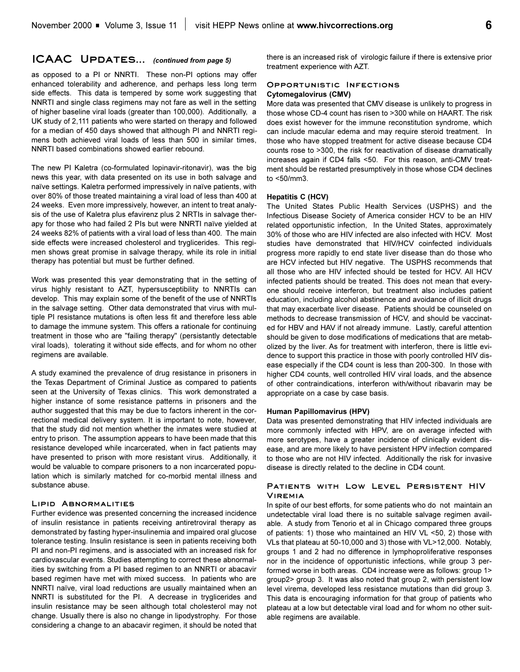### **ICAAC** UPDATES... *(continued from page 5)*

as opposed to a PI or NNRTI. These non-PI options may offer enhanced tolerability and adherence, and perhaps less long term side effects. This data is tempered by some work suggesting that NNRTI and single class regimens may not fare as well in the setting of higher baseline viral loads (greater than 100,000). Additionally, a UK study of 2,111 patients who were started on therapy and followed for a median of 450 days showed that although PI and NNRTI regimens both achieved viral loads of less than 500 in similar times, NNRTI based combinations showed earlier rebound.

The new PI Kaletra (co-formulated lopinavir-ritonavir), was the big news this year, with data presented on its use in both salvage and naïve settings. Kaletra performed impressively in naïve patients, with over 80% of those treated maintaining a viral load of less than 400 at 24 weeks. Even more impressively, however, an intent to treat analysis of the use of Kaletra plus efavirenz plus 2 NRTIs in salvage therapy for those who had failed 2 PIs but were NNRTI naïve yielded at 24 weeks 82% of patients with a viral load of less than 400. The main side effects were increased cholesterol and tryglicerides. This regimen shows great promise in salvage therapy, while its role in initial therapy has potential but must be further defined.

Work was presented this year demonstrating that in the setting of virus highly resistant to AZT, hypersusceptibility to NNRTIs can develop. This may explain some of the benefit of the use of NNRTIs in the salvage setting. Other data demonstrated that virus with multiple PI resistance mutations is often less fit and therefore less able to damage the immune system. This offers a rationale for continuing treatment in those who are "failing therapy" (persistantly detectable viral loads), tolerating it without side effects, and for whom no other regimens are available.

A study examined the prevalence of drug resistance in prisoners in the Texas Department of Criminal Justice as compared to patients seen at the University of Texas clinics. This work demonstrated a higher instance of some resistance patterns in prisoners and the author suggested that this may be due to factors inherent in the correctional medical delivery system. It is important to note, however, that the study did not mention whether the inmates were studied at entry to prison. The assumption appears to have been made that this resistance developed while incarcerated, when in fact patients may have presented to prison with more resistant virus. Additionally, it would be valuable to compare prisoners to a non incarcerated population which is similarly matched for co-morbid mental illness and substance abuse.

#### **Lipid Abnormalities**

Further evidence was presented concerning the increased incidence of insulin resistance in patients receiving antiretroviral therapy as demonstrated by fasting hyper-insulinemia and impaired oral glucose tolerance testing. Insulin resistance is seen in patients receiving both PI and non-PI regimens, and is associated with an increased risk for cardiovascular events. Studies attempting to correct these abnormalities by switching from a PI based regimen to an NNRTI or abacavir based regimen have met with mixed success. In patients who are NNRTI naïve, viral load reductions are usually maintained when an NNRTI is substituted for the PI. A decrease in tryglicerides and insulin resistance may be seen although total cholesterol may not change. Usually there is also no change in lipodystrophy. For those considering a change to an abacavir regimen, it should be noted that there is an increased risk of virologic failure if there is extensive prior treatment experience with AZT.

#### **Opportunistic Infections Cytomegalovirus (CMV)**

More data was presented that CMV disease is unlikely to progress in those whose CD-4 count has risen to >300 while on HAART. The risk does exist however for the immune reconstitution syndrome, which can include macular edema and may require steroid treatment. In those who have stopped treatment for active disease because CD4 counts rose to >300, the risk for reactivation of disease dramatically increases again if CD4 falls <50. For this reason, anti-CMV treatment should be restarted presumptively in those whose CD4 declines to <50/mm3.

#### **Hepatitis C (HCV)**

The United States Public Health Services (USPHS) and the Infectious Disease Society of America consider HCV to be an HIV related opportunistic infection, In the United States, approximately 30% of those who are HIV infected are also infected with HCV. Most studies have demonstrated that HIV/HCV coinfected individuals progress more rapidly to end state liver disease than do those who are HCV infected but HIV negative. The USPHS recommends that all those who are HIV infected should be tested for HCV. All HCV infected patients should be treated. This does not mean that everyone should receive interferon, but treatment also includes patient education, including alcohol abstinence and avoidance of illicit drugs that may exacerbate liver disease. Patients should be counseled on methods to decrease transmission of HCV, and should be vaccinated for HBV and HAV if not already immune. Lastly, careful attention should be given to dose modifications of medications that are metabolized by the liver. As for treatment with interferon, there is little evidence to support this practice in those with poorly controlled HIV disease especially if the CD4 count is less than 200-300. In those with higher CD4 counts, well controlled HIV viral loads, and the absence of other contraindications, interferon with/without ribavarin may be appropriate on a case by case basis.

#### **Human Papillomavirus (HPV)**

Data was presented demonstrating that HIV infected individuals are more commonly infected with HPV, are on average infected with more serotypes, have a greater incidence of clinically evident disease, and are more likely to have persistent HPV infection compared to those who are not HIV infected. Additionally the risk for invasive disease is directly related to the decline in CD4 count.

### **Patients with Low Level Persistent HIV Viremia**

In spite of our best efforts, for some patients who do not maintain an undetectable viral load there is no suitable salvage regimen available. A study from Tenorio et al in Chicago compared three groups of patients: 1) those who maintained an HIV VL <50, 2) those with VLs that plateau at 50-10,000 and 3) those with VL>12,000. Notably, groups 1 and 2 had no difference in lymphoproliferative responses nor in the incidence of opportunistic infections, while group 3 performed worse in both areas. CD4 increase were as follows: group 1> group2> group 3. It was also noted that group 2, with persistent low level virema, developed less resistance mutations than did group 3. This data is encouraging information for that group of patients who plateau at a low but detectable viral load and for whom no other suitable regimens are available.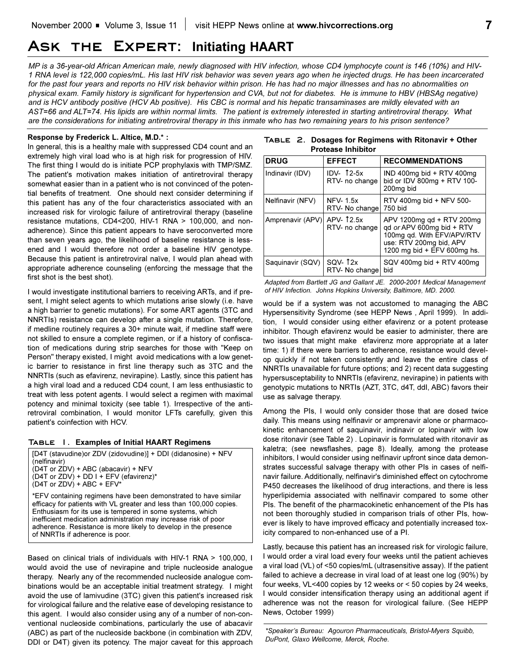# **Ask the Expert: Initiating HAART**

*MP is a 36-year-old African American male, newly diagnosed with HIV infection, whose CD4 lymphocyte count is 146 (10%) and HIV-1 RNA level is 122,000 copies/mL. His last HIV risk behavior was seven years ago when he injected drugs. He has been incarcerated for the past four years and reports no HIV risk behavior within prison. He has had no major illnesses and has no abnormalities on physical exam. Family history is significant for hypertension and CVA, but not for diabetes. He is immune to HBV (HBSAg negative) and is HCV antibody positive (HCV Ab positive). His CBC is normal and his hepatic transaminases are mildly elevated with an AST=66 and ALT=74. His lipids are within normal limits. The patient is extremely interested in starting antiretroviral therapy. What are the considerations for initiating antiretroviral therapy in this inmate who has two remaining years to his prison sentence?*

#### **Response by Frederick L. Altice, M.D.\* :**

In general, this is a healthy male with suppressed CD4 count and an extremely high viral load who is at high risk for progression of HIV. The first thing I would do is initiate PCP prophylaxis with TMP/SMZ. The patient's motivation makes initiation of antiretroviral therapy somewhat easier than in a patient who is not convinced of the potential benefits of treatment. One should next consider determining if this patient has any of the four characteristics associated with an increased risk for virologic failure of antiretroviral therapy (baseline resistance mutations, CD4<200, HIV-1 RNA > 100,000, and nonadherence). Since this patient appears to have seroconverted more than seven years ago, the likelihood of baseline resistance is lessened and I would therefore not order a baseline HIV genotype. Because this patient is antiretroviral naïve, I would plan ahead with appropriate adherence counseling (enforcing the message that the first shot is the best shot).

I would investigate institutional barriers to receiving ARTs, and if present, I might select agents to which mutations arise slowly (i.e. have a high barrier to genetic mutations). For some ART agents (3TC and NNRTIs) resistance can develop after a single mutation. Therefore, if medline routinely requires a 30+ minute wait, if medline staff were not skilled to ensure a complete regimen, or if a history of confiscation of medications during strip searches for those with "Keep on Person" therapy existed, I might avoid medications with a low genetic barrier to resistance in first line therapy such as 3TC and the NNRTIs (such as efavirenz, nevirapine). Lastly, since this patient has a high viral load and a reduced CD4 count, I am less enthusiastic to treat with less potent agents. I would select a regimen with maximal potency and minimal toxicity (see table 1). Irrespective of the antiretroviral combination, I would monitor LFTs carefully, given this patient's coinfection with HCV.

#### **Table 1. Examples of Initial HAART Regimens**

| [D4T (stavudine) or ZDV (zidovudine)] + DDI (didanosine) + NFV                                                                                                                                                                                                                                                                                                               |  |
|------------------------------------------------------------------------------------------------------------------------------------------------------------------------------------------------------------------------------------------------------------------------------------------------------------------------------------------------------------------------------|--|
| (nelfinavir)                                                                                                                                                                                                                                                                                                                                                                 |  |
| (D4T or ZDV) + ABC (abacavir) + NFV                                                                                                                                                                                                                                                                                                                                          |  |
| (D4T or ZDV) + DD I + EFV (efavirenz)*                                                                                                                                                                                                                                                                                                                                       |  |
| $(D4T or ZDV) + ABC + EFV^*$                                                                                                                                                                                                                                                                                                                                                 |  |
| *EFV containing regimens have been demonstrated to have similar<br>efficacy for patients with VL greater and less than 100,000 copies.<br>Enthusiasm for its use is tempered in some systems, which<br>inefficient medication administration may increase risk of poor<br>adherence. Resistance is more likely to develop in the presence<br>of NNRTIs if adherence is poor. |  |

Based on clinical trials of individuals with HIV-1 RNA > 100,000, I would avoid the use of nevirapine and triple nucleoside analogue therapy. Nearly any of the recommended nucleoside analogue combinations would be an acceptable initial treatment strategy. I might avoid the use of lamivudine (3TC) given this patient's increased risk for virological failure and the relative ease of developing resistance to this agent. I would also consider using any of a number of non-conventional nucleoside combinations, particularly the use of abacavir (ABC) as part of the nucleoside backbone (in combination with ZDV, DDI or D4T) given its potency. The major caveat for this approach

|  | TABLE 2. Dosages for Regimens with Ritonavir + Other |
|--|------------------------------------------------------|
|  | <b>Protease Inhibitor</b>                            |

| <b>DRUG</b>      | <b>EFFECT</b>                     | <b>RECOMMENDATIONS</b>                                                                                                                         |
|------------------|-----------------------------------|------------------------------------------------------------------------------------------------------------------------------------------------|
| Indinavir (IDV)  | IDV- $12-5x$<br>RTV- no change    | IND 400mg bid + RTV 400mg<br>bid or IDV 800mg + RTV 100-<br>200mg bid                                                                          |
| Nelfinavir (NFV) | <b>NFV-1.5x</b><br>RTV- No change | RTV 400mg bid + NFV 500-<br>750 bid                                                                                                            |
| Amprenavir (APV) | APV-12.5x<br>RTV- no change       | APV 1200mg qd + RTV 200mg<br>gd or APV 600mg bid + RTV<br>100mg gd. With EFV/APV/RTV<br>use: RTV 200mg bid, APV<br>1200 mg bid + EFV 600mg hs. |
| Saguinavir (SQV) | SQV-12x<br>RTV- No change         | SQV 400mg bid + RTV 400mg<br>bid                                                                                                               |

*Adapted from Bartlett JG and Gallant JE. 2000-2001 Medical Management of HIV Infection. Johns Hopkins University, Baltimore, MD. 2000.*

would be if a system was not accustomed to managing the ABC Hypersensitivity Syndrome (see HEPP News , April 1999). In addition, I would consider using either efavirenz or a potent protease inhibitor. Though efavirenz would be easier to administer, there are two issues that might make efavirenz more appropriate at a later time: 1) if there were barriers to adherence, resistance would develop quickly if not taken consistently and leave the entire class of NNRTIs unavailable for future options; and 2) recent data suggesting hypersusceptability to NNRTIs (efavirenz, nevirapine) in patients with genotypic mutations to NRTIs (AZT, 3TC, d4T, ddI, ABC) favors their use as salvage therapy.

Among the PIs, I would only consider those that are dosed twice daily. This means using nelfinavir or amprenavir alone or pharmacokinetic enhancement of saquinavir, indinavir or lopinavir with low dose ritonavir (see Table 2) . Lopinavir is formulated with ritonavir as kaletra; (see newsflashes, page 8). Ideally, among the protease inhibitors, I would consider using nelfinavir upfront since data demonstrates successful salvage therapy with other PIs in cases of nelfinavir failure. Additionally, nelfinavir's diminished effect on cytochrome P450 decreases the likelihood of drug interactions, and there is less hyperlipidemia associated with nelfinavir compared to some other PIs. The benefit of the pharmacokinetic enhancement of the PIs has not been thoroughly studied in comparison trials of other PIs, however is likely to have improved efficacy and potentially increased toxicity compared to non-enhanced use of a PI.

Lastly, because this patient has an increased risk for virologic failure, I would order a viral load every four weeks until the patient achieves a viral load (VL) of <50 copies/mL (ultrasensitive assay). If the patient failed to achieve a decrease in viral load of at least one log (90%) by four weeks, VL<400 copies by 12 weeks or < 50 copies by 24 weeks, I would consider intensification therapy using an additional agent if adherence was not the reason for virological failure. (See HEPP News, October 1999)

\*Speaker's Bureau: Agouron Pharmaceuticals, Bristol-Myers Squibb, *DuPont, Glaxo Wellcome, Merck, Roche.*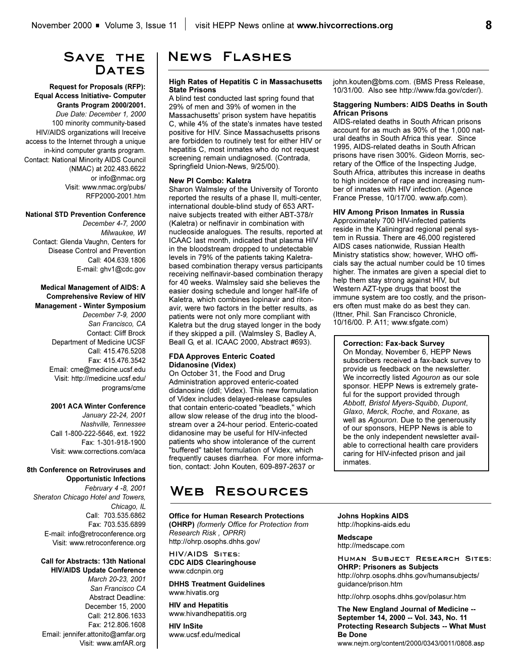# SAVE THE DATES

**Request for Proposals (RFP): Equal Access Initiative- Computer Grants Program 2000/2001.** *Due Date: December 1, 2000* 100 minority community-based HIV/AIDS organizations will lreceive access to the Internet through a unique in-kind computer grants program. Contact: National Minority AIDS Council (NMAC) at 202.483.6622 or info@nmac.org Visit: www.nmac.org/pubs/ RFP2000-2001.htm

#### **National STD Prevention Conference**

*December 4-7, 2000 Milwaukee, WI*  Contact: Glenda Vaughn, Centers for Disease Control and Prevention Call: 404.639.1806 E-mail: ghv1@cdc.gov

#### **Medical Management of AIDS: A Comprehensive Review of HIV Management - Winter Symposium**

*December 7-9, 2000 San Francisco, CA* Contact: Cliff Brock Department of Medicine UCSF Call: 415.476.5208 Fax: 415.476.3542 Email: cme@medicine.ucsf.edu Visit: http://medicine.ucsf.edu/ programs/cme

#### **2001 ACA Winter Conference**

*January 22-24, 2001 Nashville, Tennessee*  Call 1-800-222-5646, ext. 1922 Fax: 1-301-918-1900 Visit: www.corrections.com/aca

#### **8th Conference on Retroviruses and Opportunistic Infections**

*February 4 -8, 2001 Sheraton Chicago Hotel and Towers, Chicago, IL* Call: 703.535.6862 Fax: 703.535.6899 E-mail: info@retroconference.org Visit: www.retroconference.org

#### **Call for Abstracts: 13th National HIV/AIDS Update Conference**

*March 20-23, 2001 San Francisco CA* Abstract Deadline: December 15, 2000 Call: 212.806.1633 Fax: 212.806.1608 Email: jennifer.attonito@amfar.org Visit: www.amfAR.org

# **News Flashes**

#### **High Rates of Hepatitis C in Massachusetts State Prisons**

A blind test conducted last spring found that 29% of men and 39% of women in the Massachusetts' prison system have hepatitis C, while 4% of the state's inmates have tested positive for HIV. Since Massachusetts prisons are forbidden to routinely test for either HIV or hepatitis C, most inmates who do not request screening remain undiagnosed. (Contrada, Springfield Union-News, 9/25/00).

### **New PI Combo: Kaletra**

Sharon Walmsley of the University of Toronto reported the results of a phase II, multi-center, international double-blind study of 653 ARTnaive subjects treated with either ABT-378/r (Kaletra) or nelfinavir in combination with nucleoside analogues. The results, reported at ICAAC last month, indicated that plasma HIV in the bloodstream dropped to undetectable levels in 79% of the patients taking Kaletrabased combination therapy versus participants receiving nelfinavir-based combination therapy for 40 weeks. Walmsley said she believes the easier dosing schedule and longer half-life of Kaletra, which combines lopinavir and ritonavir, were two factors in the better results, as patients were not only more compliant with Kaletra but the drug stayed longer in the body if they skipped a pill. (Walmsley S, Badley A, Beall G, et al. ICAAC 2000, Abstract #693).

### **FDA Approves Enteric Coated Didanosine (Videx)**

On October 31, the Food and Drug Administration approved enteric-coated didanosine (ddI; Videx). This new formulation of Videx includes delayed-release capsules that contain enteric-coated "beadlets," which allow slow release of the drug into the bloodstream over a 24-hour period. Enteric-coated didanosine may be useful for HIV-infected patients who show intolerance of the current "buffered" tablet formulation of Videx, which frequently causes diarrhea. For more information, contact: John Kouten, 609-897-2637 or

# **Web Resources**

**Office for Human Research Protections (OHRP)** *(formerly Office for Protection from Research Risk , OPRR)* http://ohrp.osophs.dhhs.gov/

**HIV/AIDS Sites: CDC AIDS Clearinghouse** www.cdcnpin.org

**DHHS Treatment Guidelines** www.hivatis.org

**HIV and Hepatitis** www.hivandhepatitis.org

**HIV InSite** www.ucsf.edu/medical john.kouten@bms.com. (BMS Press Release, 10/31/00. Also see http://www.fda.gov/cder/).

#### **Staggering Numbers: AIDS Deaths in South African Prisons**

AIDS-related deaths in South African prisons account for as much as 90% of the 1,000 natural deaths in South Africa this year. Since 1995, AIDS-related deaths in South African prisons have risen 300%. Gideon Morris, secretary of the Office of the Inspecting Judge, South Africa, attributes this increase in deaths to high incidence of rape and increasing number of inmates with HIV infection. (Agence France Presse, 10/17/00. www.afp.com).

#### **HIV Among Prison Inmates in Russia**

Approximately 700 HIV-infected patients reside in the Kaliningrad regional penal system in Russia. There are 46,000 registered AIDS cases nationwide, Russian Health Ministry statistics show; however, WHO officials say the actual number could be 10 times higher. The inmates are given a special diet to help them stay strong against HIV, but Western AZT-type drugs that boost the immune system are too costly, and the prisoners often must make do as best they can. (Ittner, Phil. San Francisco Chronicle, 10/16/00. P. A11; www.sfgate.com)

### **Correction: Fax-back Survey**

On Monday, November 6, HEPP News subscribers received a fax-back survey to provide us feedback on the newsletter. We incorrectly listed *Agouron* as our sole sponsor. HEPP News is extremely grateful for the support provided through *Abbott*, *Bristol Myers-Squibb*, *Dupont*, *Glaxo*, *Merck*, *Roche*, and *Roxane*, as well as *Agouron*. Due to the generousity of our sponsors, HEPP News is able to be the only independent newsletter available to correctional health care providers caring for HIV-infected prison and jail inmates.

#### **Johns Hopkins AIDS** http://hopkins-aids.edu

**Medscape**

http://medscape.com

**Human Subject Research Sites: OHRP: Prisoners as Subjects** http://ohrp.osophs.dhhs.gov/humansubjects/ guidance/prison.htm

http://ohrp.osophs.dhhs.gov/polasur.htm

**The New England Journal of Medicine -- September 14, 2000 -- Vol. 343, No. 11 Protecting Research Subjects -- What Must Be Done**

www.nejm.org/content/2000/0343/0011/0808.asp